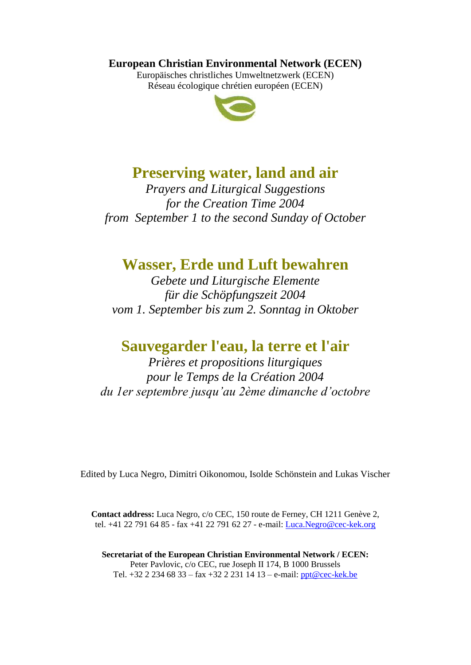**European Christian Environmental Network (ECEN)**

Europäisches christliches Umweltnetzwerk (ECEN) Réseau écologique chrétien européen (ECEN)



# **Preserving water, land and air**

*Prayers and Liturgical Suggestions for the Creation Time 2004 from September 1 to the second Sunday of October*

# **Wasser, Erde und Luft bewahren**

*Gebete und Liturgische Elemente für die Schöpfungszeit 2004 vom 1. September bis zum 2. Sonntag in Oktober*

# **Sauvegarder l'eau, la terre et l'air**

*Prières et propositions liturgiques pour le Temps de la Création 2004 du 1er septembre jusqu'au 2ème dimanche d'octobre*

Edited by Luca Negro, Dimitri Oikonomou, Isolde Schönstein and Lukas Vischer

**Contact address:** Luca Negro, c/o CEC, 150 route de Ferney, CH 1211 Genève 2, tel. +41 22 791 64 85 - fax +41 22 791 62 27 - e-mail: [Luca.Negro@cec-kek.org](mailto:lmn@cec-kek.org)

**Secretariat of the European Christian Environmental Network / ECEN:**  Peter Pavlovic, c/o CEC, rue Joseph II 174, B 1000 Brussels Tel. +32 2 234 68 33 – fax +32 2 231 14 13 – e-mail: [ppt@cec-kek.be](mailto:ppt@cec-kek.be)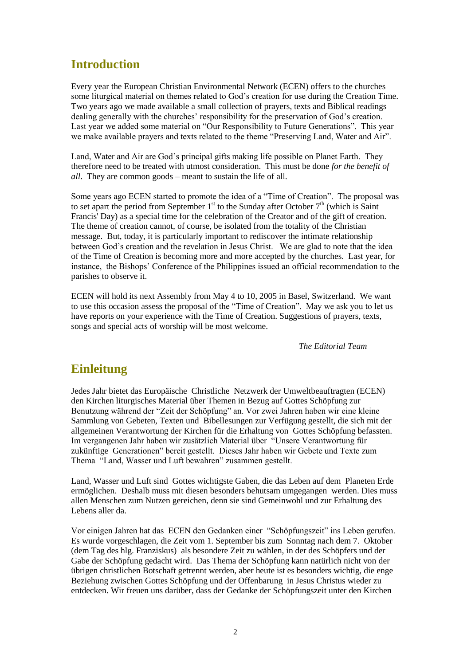# **Introduction**

Every year the European Christian Environmental Network (ECEN) offers to the churches some liturgical material on themes related to God's creation for use during the Creation Time. Two years ago we made available a small collection of prayers, texts and Biblical readings dealing generally with the churches' responsibility for the preservation of God's creation. Last year we added some material on "Our Responsibility to Future Generations". This year we make available prayers and texts related to the theme "Preserving Land, Water and Air".

Land, Water and Air are God's principal gifts making life possible on Planet Earth. They therefore need to be treated with utmost consideration. This must be done *for the benefit of all*. They are common goods – meant to sustain the life of all.

Some years ago ECEN started to promote the idea of a "Time of Creation". The proposal was to set apart the period from September  $1<sup>st</sup>$  to the Sunday after October  $7<sup>th</sup>$  (which is Saint Francis' Day) as a special time for the celebration of the Creator and of the gift of creation. The theme of creation cannot, of course, be isolated from the totality of the Christian message. But, today, it is particularly important to rediscover the intimate relationship between God's creation and the revelation in Jesus Christ. We are glad to note that the idea of the Time of Creation is becoming more and more accepted by the churches. Last year, for instance, the Bishops' Conference of the Philippines issued an official recommendation to the parishes to observe it.

ECEN will hold its next Assembly from May 4 to 10, 2005 in Basel, Switzerland. We want to use this occasion assess the proposal of the "Time of Creation". May we ask you to let us have reports on your experience with the Time of Creation. Suggestions of prayers, texts, songs and special acts of worship will be most welcome.

*The Editorial Team*

# **Einleitung**

Jedes Jahr bietet das Europäische Christliche Netzwerk der Umweltbeauftragten (ECEN) den Kirchen liturgisches Material über Themen in Bezug auf Gottes Schöpfung zur Benutzung während der "Zeit der Schöpfung" an. Vor zwei Jahren haben wir eine kleine Sammlung von Gebeten, Texten und Bibellesungen zur Verfügung gestellt, die sich mit der allgemeinen Verantwortung der Kirchen für die Erhaltung von Gottes Schöpfung befassten. Im vergangenen Jahr haben wir zusätzlich Material über "Unsere Verantwortung für zukünftige Generationen" bereit gestellt. Dieses Jahr haben wir Gebete und Texte zum Thema "Land, Wasser und Luft bewahren" zusammen gestellt.

Land, Wasser und Luft sind Gottes wichtigste Gaben, die das Leben auf dem Planeten Erde ermöglichen. Deshalb muss mit diesen besonders behutsam umgegangen werden. Dies muss allen Menschen zum Nutzen gereichen, denn sie sind Gemeinwohl und zur Erhaltung des Lebens aller da.

Vor einigen Jahren hat das ECEN den Gedanken einer "Schöpfungszeit" ins Leben gerufen. Es wurde vorgeschlagen, die Zeit vom 1. September bis zum Sonntag nach dem 7. Oktober (dem Tag des hlg. Franziskus) als besondere Zeit zu wählen, in der des Schöpfers und der Gabe der Schöpfung gedacht wird. Das Thema der Schöpfung kann natürlich nicht von der übrigen christlichen Botschaft getrennt werden, aber heute ist es besonders wichtig, die enge Beziehung zwischen Gottes Schöpfung und der Offenbarung in Jesus Christus wieder zu entdecken. Wir freuen uns darüber, dass der Gedanke der Schöpfungszeit unter den Kirchen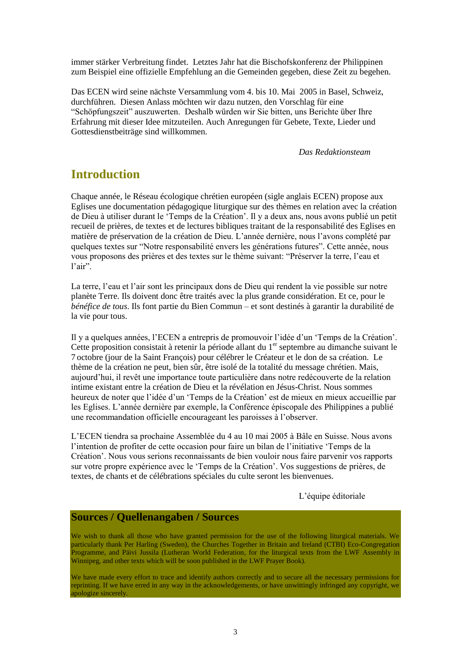immer stärker Verbreitung findet. Letztes Jahr hat die Bischofskonferenz der Philippinen zum Beispiel eine offizielle Empfehlung an die Gemeinden gegeben, diese Zeit zu begehen.

Das ECEN wird seine nächste Versammlung vom 4. bis 10. Mai 2005 in Basel, Schweiz, durchführen. Diesen Anlass möchten wir dazu nutzen, den Vorschlag für eine "Schöpfungszeit" auszuwerten. Deshalb würden wir Sie bitten, uns Berichte über Ihre Erfahrung mit dieser Idee mitzuteilen. Auch Anregungen für Gebete, Texte, Lieder und Gottesdienstbeiträge sind willkommen.

#### *Das Redaktionsteam*

# **Introduction**

Chaque année, le Réseau écologique chrétien européen (sigle anglais ECEN) propose aux Eglises une documentation pédagogique liturgique sur des thèmes en relation avec la création de Dieu à utiliser durant le 'Temps de la Création'. Il y a deux ans, nous avons publié un petit recueil de prières, de textes et de lectures bibliques traitant de la responsabilité des Eglises en matière de préservation de la création de Dieu. L'année dernière, nous l'avons complété par quelques textes sur "Notre responsabilité envers les générations futures". Cette année, nous vous proposons des prières et des textes sur le thème suivant: "Préserver la terre, l'eau et l'air".

La terre, l'eau et l'air sont les principaux dons de Dieu qui rendent la vie possible sur notre planète Terre. Ils doivent donc être traités avec la plus grande considération. Et ce, pour le *bénéfice de tous*. Ils font partie du Bien Commun – et sont destinés à garantir la durabilité de la vie pour tous.

Il y a quelques années, l'ECEN a entrepris de promouvoir l'idée d'un 'Temps de la Création'. Cette proposition consistait à retenir la période allant du 1<sup>er</sup> septembre au dimanche suivant le 7 octobre (jour de la Saint François) pour célébrer le Créateur et le don de sa création. Le thème de la création ne peut, bien sûr, être isolé de la totalité du message chrétien. Mais, aujourd'hui, il revêt une importance toute particulière dans notre redécouverte de la relation intime existant entre la création de Dieu et la révélation en Jésus-Christ. Nous sommes heureux de noter que l'idée d'un 'Temps de la Création' est de mieux en mieux accueillie par les Eglises. L'année dernière par exemple, la Conférence épiscopale des Philippines a publié une recommandation officielle encourageant les paroisses à l'observer.

L'ECEN tiendra sa prochaine Assemblée du 4 au 10 mai 2005 à Bâle en Suisse. Nous avons l'intention de profiter de cette occasion pour faire un bilan de l'initiative 'Temps de la Création'. Nous vous serions reconnaissants de bien vouloir nous faire parvenir vos rapports sur votre propre expérience avec le 'Temps de la Création'. Vos suggestions de prières, de textes, de chants et de célébrations spéciales du culte seront les bienvenues.

L'équipe éditoriale

### **Sources / Quellenangaben / Sources**

We wish to thank all those who have granted permission for the use of the following liturgical materials. We particularly thank Per Harling (Sweden), the Churches Together in Britain and Ireland (CTBI) Eco-Congregation Programme, and Päivi Jussila (Lutheran World Federation, for the liturgical texts from the LWF Assembly in Winnipeg, and other texts which will be soon published in the LWF Prayer Book).

We have made every effort to trace and identify authors correctly and to secure all the necessary permissions for reprinting. If we have erred in any way in the acknowledgements, or have unwittingly infringed any copyright, we apologize sincerely.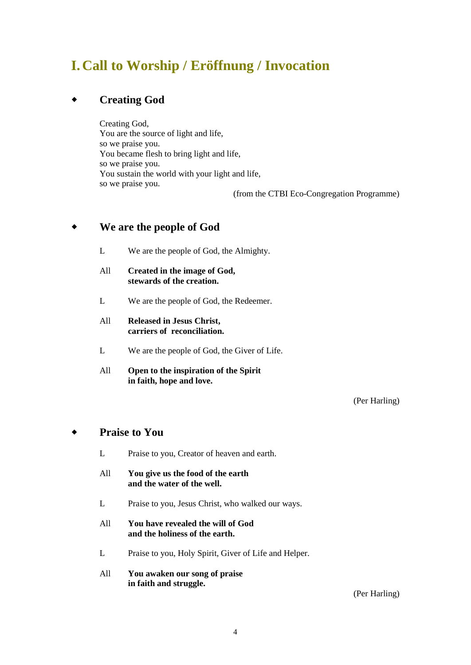# **I.Call to Worship / Eröffnung / Invocation**

# **Creating God**

Creating God, You are the source of light and life, so we praise you. You became flesh to bring light and life, so we praise you. You sustain the world with your light and life, so we praise you.

(from the CTBI Eco-Congregation Programme)

# **We are the people of God**

- L We are the people of God, the Almighty.
- All **Created in the image of God, stewards of the creation.**
- L We are the people of God, the Redeemer.
- All **Released in Jesus Christ, carriers of reconciliation.**
- L We are the people of God, the Giver of Life.
- All **Open to the inspiration of the Spirit in faith, hope and love.**

(Per Harling)

# **Praise to You**

- L Praise to you, Creator of heaven and earth.
- All **You give us the food of the earth and the water of the well.**
- L Praise to you, Jesus Christ, who walked our ways.
- All **You have revealed the will of God and the holiness of the earth.**
- L Praise to you, Holy Spirit, Giver of Life and Helper.
- All **You awaken our song of praise in faith and struggle.**

(Per Harling)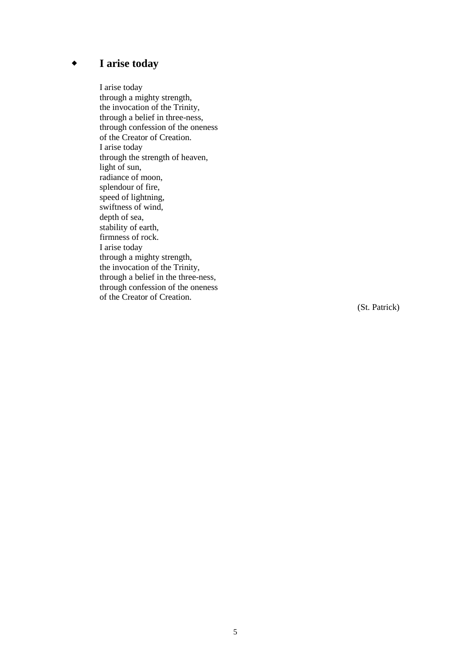# **I arise today**

I arise today through a mighty strength, the invocation of the Trinity, through a belief in three-ness, through confession of the oneness of the Creator of Creation. I arise today through the strength of heaven, light of sun, radiance of moon, splendour of fire, speed of lightning, swiftness of wind, depth of sea, stability of earth, firmness of rock. I arise today through a mighty strength, the invocation of the Trinity, through a belief in the three-ness, through confession of the oneness of the Creator of Creation.

(St. Patrick)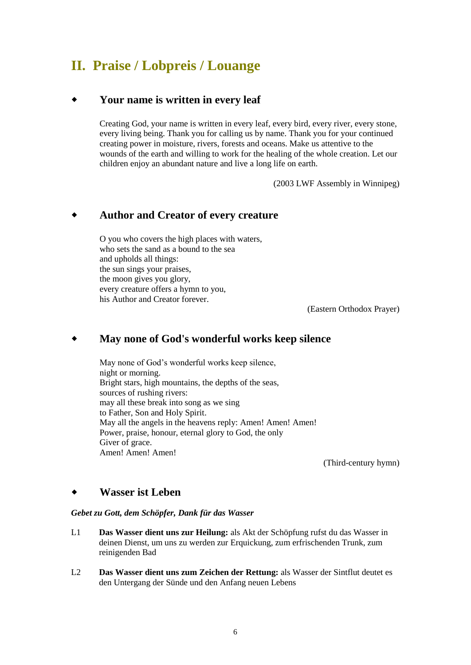# **II. Praise / Lobpreis / Louange**

## **Your name is written in every leaf**

Creating God, your name is written in every leaf, every bird, every river, every stone, every living being. Thank you for calling us by name. Thank you for your continued creating power in moisture, rivers, forests and oceans. Make us attentive to the wounds of the earth and willing to work for the healing of the whole creation. Let our children enjoy an abundant nature and live a long life on earth.

(2003 LWF Assembly in Winnipeg)

### **Author and Creator of every creature**

O you who covers the high places with waters, who sets the sand as a bound to the sea and upholds all things: the sun sings your praises, the moon gives you glory, every creature offers a hymn to you, his Author and Creator forever.

(Eastern Orthodox Prayer)

## **May none of God's wonderful works keep silence**

May none of God's wonderful works keep silence, night or morning. Bright stars, high mountains, the depths of the seas, sources of rushing rivers: may all these break into song as we sing to Father, Son and Holy Spirit. May all the angels in the heavens reply: Amen! Amen! Amen! Power, praise, honour, eternal glory to God, the only Giver of grace. Amen! Amen! Amen!

(Third-century hymn)

## **Wasser ist Leben**

#### *Gebet zu Gott, dem Schöpfer, Dank für das Wasser*

- L1 **Das Wasser dient uns zur Heilung:** als Akt der Schöpfung rufst du das Wasser in deinen Dienst, um uns zu werden zur Erquickung, zum erfrischenden Trunk, zum reinigenden Bad
- L2 **Das Wasser dient uns zum Zeichen der Rettung:** als Wasser der Sintflut deutet es den Untergang der Sünde und den Anfang neuen Lebens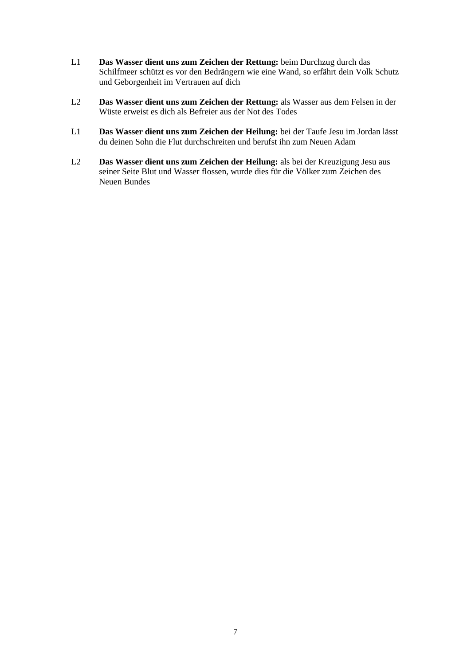- L1 **Das Wasser dient uns zum Zeichen der Rettung:** beim Durchzug durch das Schilfmeer schützt es vor den Bedrängern wie eine Wand, so erfährt dein Volk Schutz und Geborgenheit im Vertrauen auf dich
- L2 **Das Wasser dient uns zum Zeichen der Rettung:** als Wasser aus dem Felsen in der Wüste erweist es dich als Befreier aus der Not des Todes
- L1 **Das Wasser dient uns zum Zeichen der Heilung:** bei der Taufe Jesu im Jordan lässt du deinen Sohn die Flut durchschreiten und berufst ihn zum Neuen Adam
- L2 **Das Wasser dient uns zum Zeichen der Heilung:** als bei der Kreuzigung Jesu aus seiner Seite Blut und Wasser flossen, wurde dies für die Völker zum Zeichen des Neuen Bundes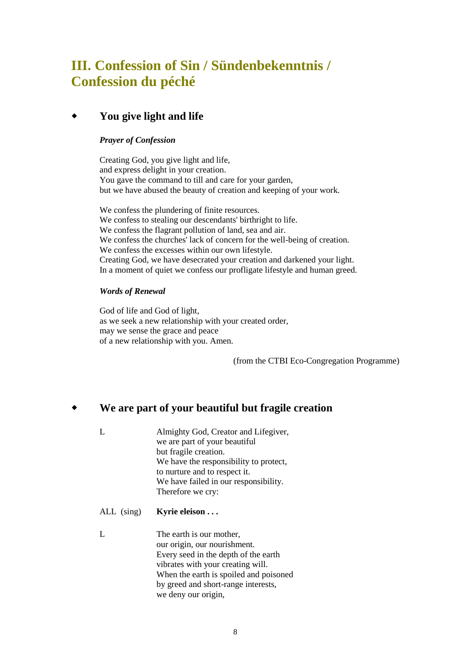# **III. Confession of Sin / Sündenbekenntnis / Confession du péché**

# **You give light and life**

#### *Prayer of Confession*

Creating God, you give light and life, and express delight in your creation. You gave the command to till and care for your garden, but we have abused the beauty of creation and keeping of your work.

We confess the plundering of finite resources. We confess to stealing our descendants' birthright to life. We confess the flagrant pollution of land, sea and air. We confess the churches' lack of concern for the well-being of creation. We confess the excesses within our own lifestyle. Creating God, we have desecrated your creation and darkened your light. In a moment of quiet we confess our profligate lifestyle and human greed.

#### *Words of Renewal*

God of life and God of light, as we seek a new relationship with your created order, may we sense the grace and peace of a new relationship with you. Amen.

(from the CTBI Eco-Congregation Programme)

# **We are part of your beautiful but fragile creation**

- L Almighty God, Creator and Lifegiver, we are part of your beautiful but fragile creation. We have the responsibility to protect, to nurture and to respect it. We have failed in our responsibility. Therefore we cry:
- ALL (sing) **Kyrie eleison . . .**

L The earth is our mother, our origin, our nourishment. Every seed in the depth of the earth vibrates with your creating will. When the earth is spoiled and poisoned by greed and short-range interests, we deny our origin,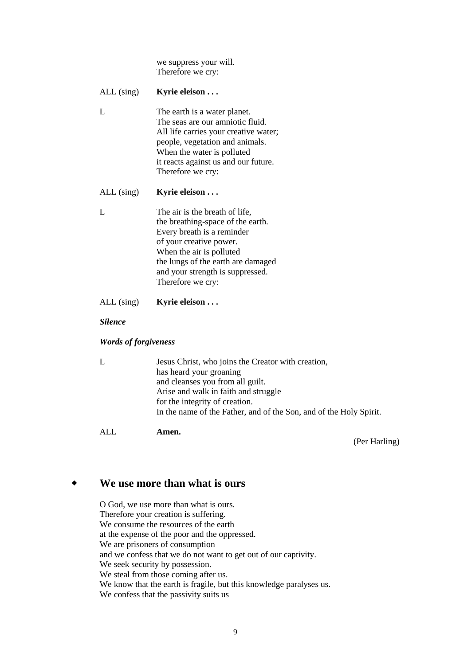we suppress your will. Therefore we cry:

#### ALL (sing) **Kyrie eleison . . .**

L The earth is a water planet. The seas are our amniotic fluid. All life carries your creative water; people, vegetation and animals. When the water is polluted it reacts against us and our future. Therefore we cry:

#### ALL (sing) **Kyrie eleison . . .**

L The air is the breath of life, the breathing-space of the earth. Every breath is a reminder of your creative power. When the air is polluted the lungs of the earth are damaged and your strength is suppressed. Therefore we cry:

#### ALL (sing) **Kyrie eleison . . .**

#### *Silence*

#### *Words of forgiveness*

| L | Jesus Christ, who joins the Creator with creation,                 |  |
|---|--------------------------------------------------------------------|--|
|   | has heard your groaning                                            |  |
|   | and cleanses you from all guilt.                                   |  |
|   | Arise and walk in faith and struggle                               |  |
|   | for the integrity of creation.                                     |  |
|   | In the name of the Father, and of the Son, and of the Holy Spirit. |  |
|   |                                                                    |  |

ALL **Amen.**

(Per Harling)

## **We use more than what is ours**

O God, we use more than what is ours. Therefore your creation is suffering. We consume the resources of the earth at the expense of the poor and the oppressed. We are prisoners of consumption and we confess that we do not want to get out of our captivity. We seek security by possession. We steal from those coming after us. We know that the earth is fragile, but this knowledge paralyses us. We confess that the passivity suits us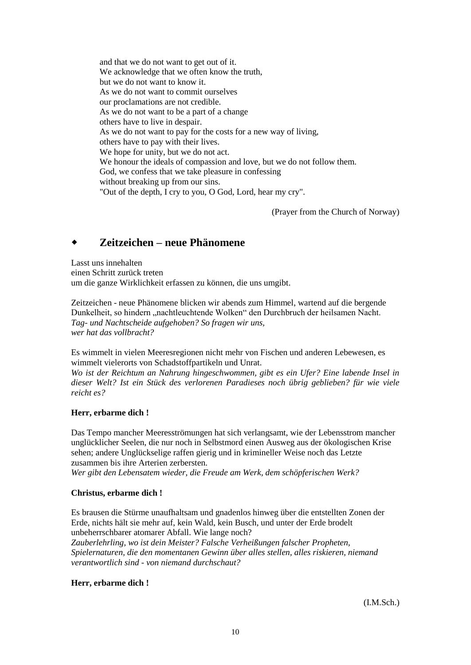and that we do not want to get out of it. We acknowledge that we often know the truth, but we do not want to know it. As we do not want to commit ourselves our proclamations are not credible. As we do not want to be a part of a change others have to live in despair. As we do not want to pay for the costs for a new way of living, others have to pay with their lives. We hope for unity, but we do not act. We honour the ideals of compassion and love, but we do not follow them. God, we confess that we take pleasure in confessing without breaking up from our sins. "Out of the depth, I cry to you, O God, Lord, hear my cry".

(Prayer from the Church of Norway)

## **Zeitzeichen – neue Phänomene**

Lasst uns innehalten einen Schritt zurück treten um die ganze Wirklichkeit erfassen zu können, die uns umgibt.

Zeitzeichen - neue Phänomene blicken wir abends zum Himmel, wartend auf die bergende Dunkelheit, so hindern "nachtleuchtende Wolken" den Durchbruch der heilsamen Nacht. *Tag- und Nachtscheide aufgehoben? So fragen wir uns, wer hat das vollbracht?*

Es wimmelt in vielen Meeresregionen nicht mehr von Fischen und anderen Lebewesen, es wimmelt vielerorts von Schadstoffpartikeln und Unrat.

*Wo ist der Reichtum an Nahrung hingeschwommen, gibt es ein Ufer? Eine labende Insel in dieser Welt? Ist ein Stück des verlorenen Paradieses noch übrig geblieben? für wie viele reicht es?*

#### **Herr, erbarme dich !**

Das Tempo mancher Meeresströmungen hat sich verlangsamt, wie der Lebensstrom mancher unglücklicher Seelen, die nur noch in Selbstmord einen Ausweg aus der ökologischen Krise sehen; andere Unglückselige raffen gierig und in krimineller Weise noch das Letzte zusammen bis ihre Arterien zerbersten.

*Wer gibt den Lebensatem wieder, die Freude am Werk, dem schöpferischen Werk?*

#### **Christus, erbarme dich !**

Es brausen die Stürme unaufhaltsam und gnadenlos hinweg über die entstellten Zonen der Erde, nichts hält sie mehr auf, kein Wald, kein Busch, und unter der Erde brodelt unbeherrschbarer atomarer Abfall. Wie lange noch?

*Zauberlehrling, wo ist dein Meister? Falsche Verheißungen falscher Propheten, Spielernaturen, die den momentanen Gewinn über alles stellen, alles riskieren, niemand verantwortlich sind - von niemand durchschaut?*

#### **Herr, erbarme dich !**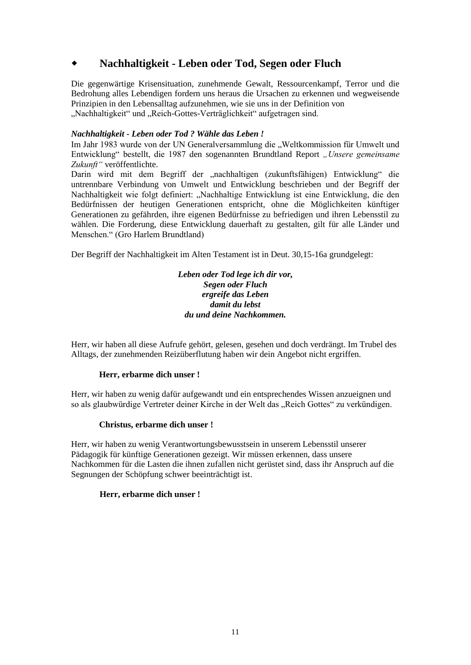# **Nachhaltigkeit - Leben oder Tod, Segen oder Fluch**

Die gegenwärtige Krisensituation, zunehmende Gewalt, Ressourcenkampf, Terror und die Bedrohung alles Lebendigen fordern uns heraus die Ursachen zu erkennen und wegweisende Prinzipien in den Lebensalltag aufzunehmen, wie sie uns in der Definition von "Nachhaltigkeit" und "Reich-Gottes-Verträglichkeit" aufgetragen sind.

#### *Nachhaltigkeit - Leben oder Tod ? Wähle das Leben !*

Im Jahr 1983 wurde von der UN Generalversammlung die "Weltkommission für Umwelt und Entwicklung" bestellt, die 1987 den sogenannten Brundtland Report "Unsere gemeinsame *Zukunft"* veröffentlichte.

Darin wird mit dem Begriff der "nachhaltigen (zukunftsfähigen) Entwicklung" die untrennbare Verbindung von Umwelt und Entwicklung beschrieben und der Begriff der Nachhaltigkeit wie folgt definiert: "Nachhaltige Entwicklung ist eine Entwicklung, die den Bedürfnissen der heutigen Generationen entspricht, ohne die Möglichkeiten künftiger Generationen zu gefährden, ihre eigenen Bedürfnisse zu befriedigen und ihren Lebensstil zu wählen. Die Forderung, diese Entwicklung dauerhaft zu gestalten, gilt für alle Länder und Menschen." (Gro Harlem Brundtland)

Der Begriff der Nachhaltigkeit im Alten Testament ist in Deut. 30,15-16a grundgelegt:

*Leben oder Tod lege ich dir vor, Segen oder Fluch ergreife das Leben damit du lebst du und deine Nachkommen.*

Herr, wir haben all diese Aufrufe gehört, gelesen, gesehen und doch verdrängt. Im Trubel des Alltags, der zunehmenden Reizüberflutung haben wir dein Angebot nicht ergriffen.

#### **Herr, erbarme dich unser !**

Herr, wir haben zu wenig dafür aufgewandt und ein entsprechendes Wissen anzueignen und so als glaubwürdige Vertreter deiner Kirche in der Welt das "Reich Gottes" zu verkündigen.

#### **Christus, erbarme dich unser !**

Herr, wir haben zu wenig Verantwortungsbewusstsein in unserem Lebensstil unserer Pädagogik für künftige Generationen gezeigt. Wir müssen erkennen, dass unsere Nachkommen für die Lasten die ihnen zufallen nicht gerüstet sind, dass ihr Anspruch auf die Segnungen der Schöpfung schwer beeinträchtigt ist.

#### **Herr, erbarme dich unser !**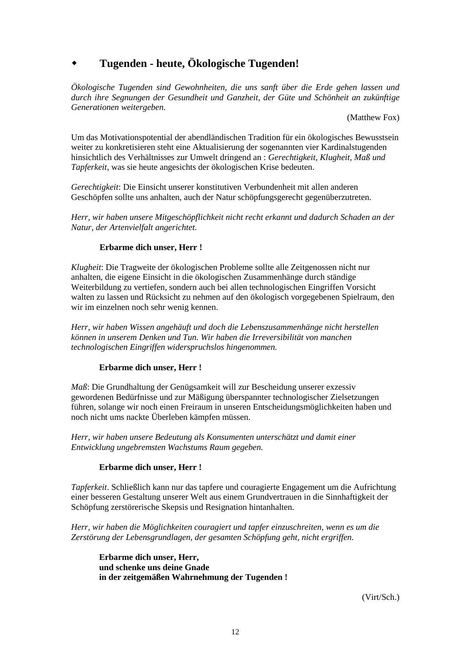# **Tugenden - heute, Ökologische Tugenden!**

*Ökologische Tugenden sind Gewohnheiten, die uns sanft über die Erde gehen lassen und durch ihre Segnungen der Gesundheit und Ganzheit, der Güte und Schönheit an zukünftige Generationen weitergeben.* 

(Matthew Fox)

Um das Motivationspotential der abendländischen Tradition für ein ökologisches Bewusstsein weiter zu konkretisieren steht eine Aktualisierung der sogenannten vier Kardinalstugenden hinsichtlich des Verhältnisses zur Umwelt dringend an : *Gerechtigkeit, Klugheit, Maß und Tapferkeit*, was sie heute angesichts der ökologischen Krise bedeuten.

*Gerechtigkeit*: Die Einsicht unserer konstitutiven Verbundenheit mit allen anderen Geschöpfen sollte uns anhalten, auch der Natur schöpfungsgerecht gegenüberzutreten.

*Herr, wir haben unsere Mitgeschöpflichkeit nicht recht erkannt und dadurch Schaden an der Natur, der Artenvielfalt angerichtet.*

#### **Erbarme dich unser, Herr !**

*Klugheit*: Die Tragweite der ökologischen Probleme sollte alle Zeitgenossen nicht nur anhalten, die eigene Einsicht in die ökologischen Zusammenhänge durch ständige Weiterbildung zu vertiefen, sondern auch bei allen technologischen Eingriffen Vorsicht walten zu lassen und Rücksicht zu nehmen auf den ökologisch vorgegebenen Spielraum, den wir im einzelnen noch sehr wenig kennen.

*Herr, wir haben Wissen angehäuft und doch die Lebenszusammenhänge nicht herstellen können in unserem Denken und Tun. Wir haben die Irreversibilität von manchen technologischen Eingriffen widerspruchslos hingenommen.*

#### **Erbarme dich unser, Herr !**

*Maß*: Die Grundhaltung der Genügsamkeit will zur Bescheidung unserer exzessiv gewordenen Bedürfnisse und zur Mäßigung überspannter technologischer Zielsetzungen führen, solange wir noch einen Freiraum in unseren Entscheidungsmöglichkeiten haben und noch nicht ums nackte Überleben kämpfen müssen.

*Herr, wir haben unsere Bedeutung als Konsumenten unterschätzt und damit einer Entwicklung ungebremsten Wachstums Raum gegeben.*

#### **Erbarme dich unser, Herr !**

*Tapferkeit*. Schließlich kann nur das tapfere und couragierte Engagement um die Aufrichtung einer besseren Gestaltung unserer Welt aus einem Grundvertrauen in die Sinnhaftigkeit der Schöpfung zerstörerische Skepsis und Resignation hintanhalten.

*Herr, wir haben die Möglichkeiten couragiert und tapfer einzuschreiten, wenn es um die Zerstörung der Lebensgrundlagen, der gesamten Schöpfung geht, nicht ergriffen.*

**Erbarme dich unser, Herr, und schenke uns deine Gnade in der zeitgemäßen Wahrnehmung der Tugenden !**

(Virt/Sch.)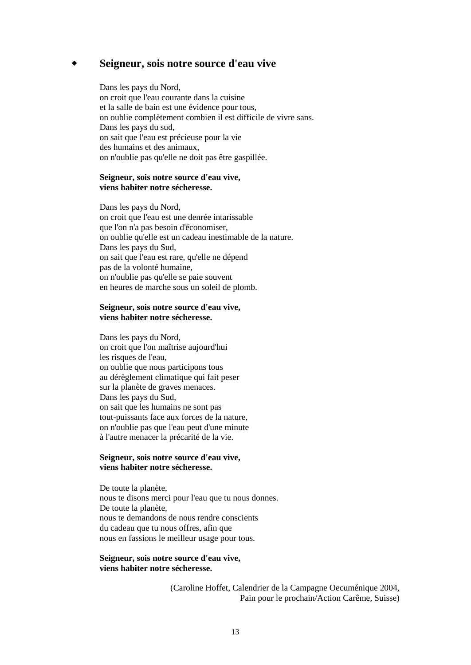#### **Seigneur, sois notre source d'eau vive**

Dans les pays du Nord, on croit que l'eau courante dans la cuisine et la salle de bain est une évidence pour tous, on oublie complètement combien il est difficile de vivre sans. Dans les pays du sud, on sait que l'eau est précieuse pour la vie des humains et des animaux, on n'oublie pas qu'elle ne doit pas être gaspillée.

#### **Seigneur, sois notre source d'eau vive, viens habiter notre sécheresse.**

Dans les pays du Nord, on croit que l'eau est une denrée intarissable que l'on n'a pas besoin d'économiser, on oublie qu'elle est un cadeau inestimable de la nature. Dans les pays du Sud, on sait que l'eau est rare, qu'elle ne dépend pas de la volonté humaine, on n'oublie pas qu'elle se paie souvent en heures de marche sous un soleil de plomb.

#### **Seigneur, sois notre source d'eau vive, viens habiter notre sécheresse.**

Dans les pays du Nord, on croit que l'on maîtrise aujourd'hui les risques de l'eau, on oublie que nous participons tous au dérèglement climatique qui fait peser sur la planète de graves menaces. Dans les pays du Sud, on sait que les humains ne sont pas tout-puissants face aux forces de la nature, on n'oublie pas que l'eau peut d'une minute à l'autre menacer la précarité de la vie.

#### **Seigneur, sois notre source d'eau vive, viens habiter notre sécheresse.**

De toute la planète, nous te disons merci pour l'eau que tu nous donnes. De toute la planète, nous te demandons de nous rendre conscients du cadeau que tu nous offres, afin que nous en fassions le meilleur usage pour tous.

#### **Seigneur, sois notre source d'eau vive, viens habiter notre sécheresse.**

(Caroline Hoffet, Calendrier de la Campagne Oecuménique 2004, Pain pour le prochain/Action Carême, Suisse)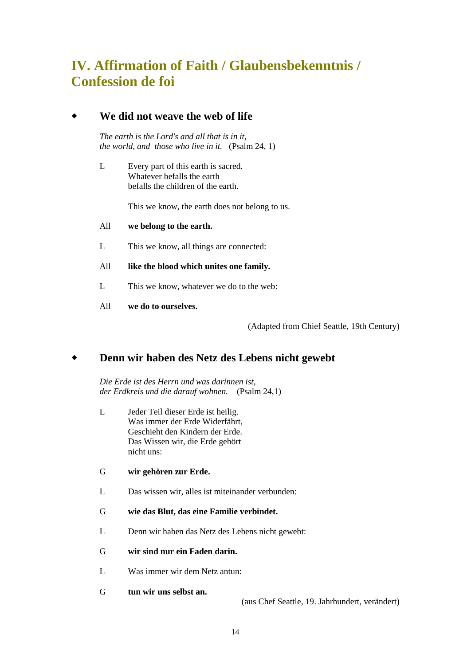# **IV. Affirmation of Faith / Glaubensbekenntnis / Confession de foi**

# **We did not weave the web of life**

*The earth is the Lord's and all that is in it, the world, and those who live in it.* (Psalm 24, 1)

L Every part of this earth is sacred. Whatever befalls the earth befalls the children of the earth.

This we know, the earth does not belong to us.

- All **we belong to the earth.**
- L This we know, all things are connected:
- All **like the blood which unites one family.**
- L This we know, whatever we do to the web:
- All **we do to ourselves.**

(Adapted from Chief Seattle, 19th Century)

# **Denn wir haben des Netz des Lebens nicht gewebt**

*Die Erde ist des Herrn und was darinnen ist, der Erdkreis und die darauf wohnen.* (Psalm 24,1)

- L Jeder Teil dieser Erde ist heilig. Was immer der Erde Widerfährt, Geschieht den Kindern der Erde. Das Wissen wir, die Erde gehört nicht uns:
- G **wir gehören zur Erde.**
- L Das wissen wir, alles ist miteinander verbunden:
- G **wie das Blut, das eine Familie verbindet.**
- L Denn wir haben das Netz des Lebens nicht gewebt:
- G **wir sind nur ein Faden darin.**
- L Was immer wir dem Netz antun:
- G **tun wir uns selbst an.**

(aus Chef Seattle, 19. Jahrhundert, verändert)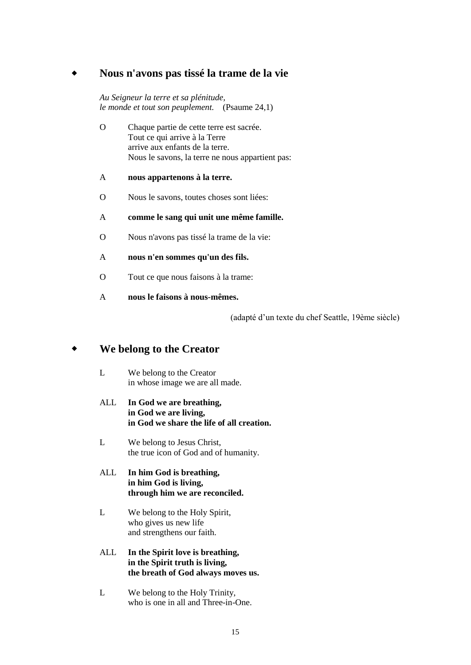## **Nous n'avons pas tissé la trame de la vie**

*Au Seigneur la terre et sa plénitude, le monde et tout son peuplement.* (Psaume 24,1)

O Chaque partie de cette terre est sacrée. Tout ce qui arrive à la Terre arrive aux enfants de la terre. Nous le savons, la terre ne nous appartient pas:

#### A **nous appartenons à la terre.**

- O Nous le savons, toutes choses sont liées:
- A **comme le sang qui unit une même famille.**
- O Nous n'avons pas tissé la trame de la vie:
- A **nous n'en sommes qu'un des fils.**
- O Tout ce que nous faisons à la trame:
- A **nous le faisons à nous-mêmes.**

(adapté d'un texte du chef Seattle, 19ème siècle)

## **We belong to the Creator**

L We belong to the Creator in whose image we are all made.

#### ALL **In God we are breathing, in God we are living, in God we share the life of all creation.**

L We belong to Jesus Christ, the true icon of God and of humanity.

#### ALL **In him God is breathing, in him God is living, through him we are reconciled.**

L We belong to the Holy Spirit, who gives us new life and strengthens our faith.

#### ALL **In the Spirit love is breathing, in the Spirit truth is living, the breath of God always moves us.**

L We belong to the Holy Trinity, who is one in all and Three-in-One.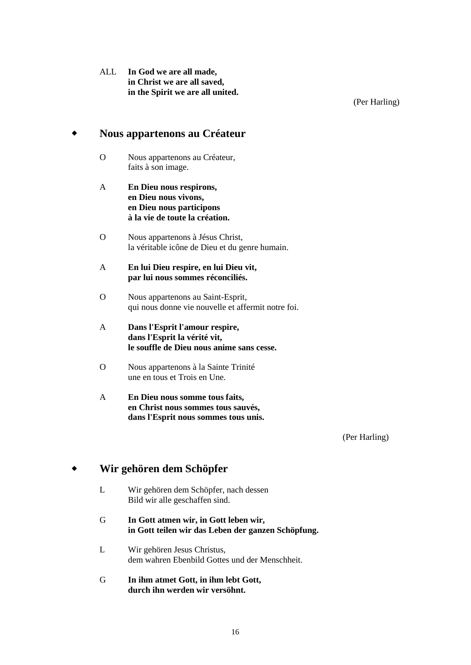ALL **In God we are all made, in Christ we are all saved, in the Spirit we are all united.**

(Per Harling)

## **Nous appartenons au Créateur**

- O Nous appartenons au Créateur, faits à son image.
- A **En Dieu nous respirons, en Dieu nous vivons, en Dieu nous participons à la vie de toute la création.**
- O Nous appartenons à Jésus Christ, la véritable icône de Dieu et du genre humain.
- A **En lui Dieu respire, en lui Dieu vit, par lui nous sommes réconciliés.**
- O Nous appartenons au Saint-Esprit, qui nous donne vie nouvelle et affermit notre foi.
- A **Dans l'Esprit l'amour respire, dans l'Esprit la vérité vit, le souffle de Dieu nous anime sans cesse.**
- O Nous appartenons à la Sainte Trinité une en tous et Trois en Une.
- A **En Dieu nous somme tous faits, en Christ nous sommes tous sauvés, dans l'Esprit nous sommes tous unis.**

(Per Harling)

# **Wir gehören dem Schöpfer**

- L Wir gehören dem Schöpfer, nach dessen Bild wir alle geschaffen sind.
- G **In Gott atmen wir, in Gott leben wir, in Gott teilen wir das Leben der ganzen Schöpfung.**
- L Wir gehören Jesus Christus, dem wahren Ebenbild Gottes und der Menschheit.
- G **In ihm atmet Gott, in ihm lebt Gott, durch ihn werden wir versöhnt.**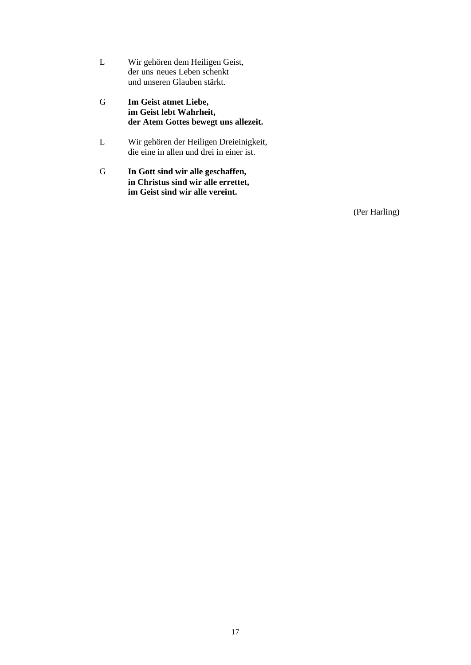- L Wir gehören dem Heiligen Geist, der uns neues Leben schenkt und unseren Glauben stärkt.
- G **Im Geist atmet Liebe, im Geist lebt Wahrheit, der Atem Gottes bewegt uns allezeit.**
- L Wir gehören der Heiligen Dreieinigkeit, die eine in allen und drei in einer ist.
- G **In Gott sind wir alle geschaffen, in Christus sind wir alle errettet, im Geist sind wir alle vereint.**

(Per Harling)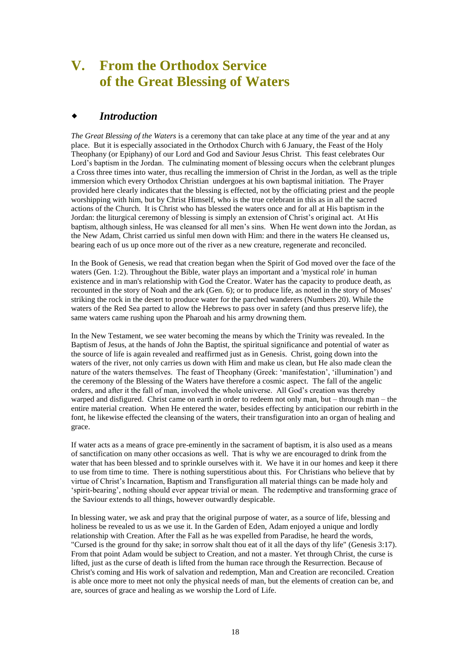# **V. From the Orthodox Service of the Great Blessing of Waters**

## *Introduction*

*The Great Blessing of the Waters* is a ceremony that can take place at any time of the year and at any place. But it is especially associated in the Orthodox Church with 6 January, the Feast of the Holy Theophany (or Epiphany) of our Lord and God and Saviour Jesus Christ. This feast celebrates Our Lord's baptism in the Jordan. The culminating moment of blessing occurs when the celebrant plunges a Cross three times into water, thus recalling the immersion of Christ in the Jordan, as well as the triple immersion which every Orthodox Christian undergoes at his own baptismal initiation. The Prayer provided here clearly indicates that the blessing is effected, not by the officiating priest and the people worshipping with him, but by Christ Himself, who is the true celebrant in this as in all the sacred actions of the Church. It is Christ who has blessed the waters once and for all at His baptism in the Jordan: the liturgical ceremony of blessing is simply an extension of Christ's original act. At His baptism, although sinless, He was cleansed for all men's sins. When He went down into the Jordan, as the New Adam, Christ carried us sinful men down with Him: and there in the waters He cleansed us, bearing each of us up once more out of the river as a new creature, regenerate and reconciled.

In the Book of Genesis, we read that creation began when the Spirit of God moved over the face of the waters (Gen. 1:2). Throughout the Bible, water plays an important and a 'mystical role' in human existence and in man's relationship with God the Creator. Water has the capacity to produce death, as recounted in the story of Noah and the ark (Gen. 6); or to produce life, as noted in the story of Moses' striking the rock in the desert to produce water for the parched wanderers (Numbers 20). While the waters of the Red Sea parted to allow the Hebrews to pass over in safety (and thus preserve life), the same waters came rushing upon the Pharoah and his army drowning them.

In the New Testament, we see water becoming the means by which the Trinity was revealed. In the Baptism of Jesus, at the hands of John the Baptist, the spiritual significance and potential of water as the source of life is again revealed and reaffirmed just as in Genesis. Christ, going down into the waters of the river, not only carries us down with Him and make us clean, but He also made clean the nature of the waters themselves. The feast of Theophany (Greek: 'manifestation', 'illumination') and the ceremony of the Blessing of the Waters have therefore a cosmic aspect. The fall of the angelic orders, and after it the fall of man, involved the whole universe. All God's creation was thereby warped and disfigured. Christ came on earth in order to redeem not only man, but – through man – the entire material creation. When He entered the water, besides effecting by anticipation our rebirth in the font, he likewise effected the cleansing of the waters, their transfiguration into an organ of healing and grace.

If water acts as a means of grace pre-eminently in the sacrament of baptism, it is also used as a means of sanctification on many other occasions as well. That is why we are encouraged to drink from the water that has been blessed and to sprinkle ourselves with it. We have it in our homes and keep it there to use from time to time. There is nothing superstitious about this. For Christians who believe that by virtue of Christ's Incarnation, Baptism and Transfiguration all material things can be made holy and 'spirit-bearing', nothing should ever appear trivial or mean. The redemptive and transforming grace of the Saviour extends to all things, however outwardly despicable.

In blessing water, we ask and pray that the original purpose of water, as a source of life, blessing and holiness be revealed to us as we use it. In the Garden of Eden, Adam enjoyed a unique and lordly relationship with Creation. After the Fall as he was expelled from Paradise, he heard the words, "Cursed is the ground for thy sake; in sorrow shalt thou eat of it all the days of thy life" (Genesis 3:17). From that point Adam would be subject to Creation, and not a master. Yet through Christ, the curse is lifted, just as the curse of death is lifted from the human race through the Resurrection. Because of Christ's coming and His work of salvation and redemption, Man and Creation are reconciled. Creation is able once more to meet not only the physical needs of man, but the elements of creation can be, and are, sources of grace and healing as we worship the Lord of Life.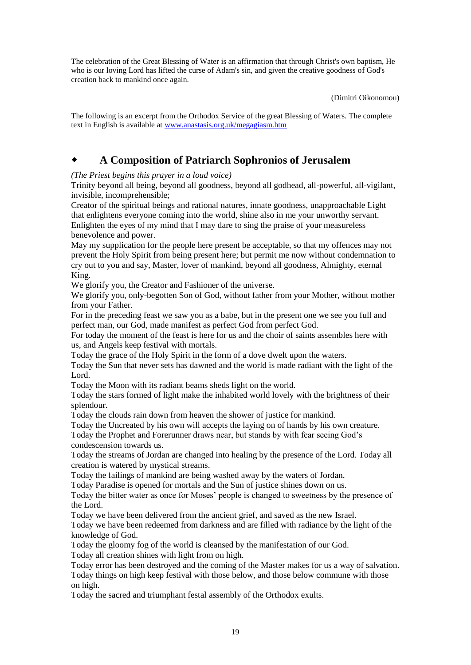The celebration of the Great Blessing of Water is an affirmation that through Christ's own baptism, He who is our loving Lord has lifted the curse of Adam's sin, and given the creative goodness of God's creation back to mankind once again.

(Dimitri Oikonomou)

The following is an excerpt from the Orthodox Service of the great Blessing of Waters. The complete text in English is available at www.anastasis.org.uk/megagiasm.htm

# **A Composition of Patriarch Sophronios of Jerusalem**

*(The Priest begins this prayer in a loud voice)*

Trinity beyond all being, beyond all goodness, beyond all godhead, all-powerful, all-vigilant, invisible, incomprehensible;

Creator of the spiritual beings and rational natures, innate goodness, unapproachable Light that enlightens everyone coming into the world, shine also in me your unworthy servant. Enlighten the eyes of my mind that I may dare to sing the praise of your measureless benevolence and power.

May my supplication for the people here present be acceptable, so that my offences may not prevent the Holy Spirit from being present here; but permit me now without condemnation to cry out to you and say, Master, lover of mankind, beyond all goodness, Almighty, eternal King.

We glorify you, the Creator and Fashioner of the universe.

We glorify you, only-begotten Son of God, without father from your Mother, without mother from your Father.

For in the preceding feast we saw you as a babe, but in the present one we see you full and perfect man, our God, made manifest as perfect God from perfect God.

For today the moment of the feast is here for us and the choir of saints assembles here with us, and Angels keep festival with mortals.

Today the grace of the Holy Spirit in the form of a dove dwelt upon the waters.

Today the Sun that never sets has dawned and the world is made radiant with the light of the Lord.

Today the Moon with its radiant beams sheds light on the world.

Today the stars formed of light make the inhabited world lovely with the brightness of their splendour.

Today the clouds rain down from heaven the shower of justice for mankind.

Today the Uncreated by his own will accepts the laying on of hands by his own creature. Today the Prophet and Forerunner draws near, but stands by with fear seeing God's condescension towards us.

Today the streams of Jordan are changed into healing by the presence of the Lord. Today all creation is watered by mystical streams.

Today the failings of mankind are being washed away by the waters of Jordan.

Today Paradise is opened for mortals and the Sun of justice shines down on us.

Today the bitter water as once for Moses' people is changed to sweetness by the presence of the Lord.

Today we have been delivered from the ancient grief, and saved as the new Israel.

Today we have been redeemed from darkness and are filled with radiance by the light of the knowledge of God.

Today the gloomy fog of the world is cleansed by the manifestation of our God.

Today all creation shines with light from on high.

Today error has been destroyed and the coming of the Master makes for us a way of salvation. Today things on high keep festival with those below, and those below commune with those on high.

Today the sacred and triumphant festal assembly of the Orthodox exults.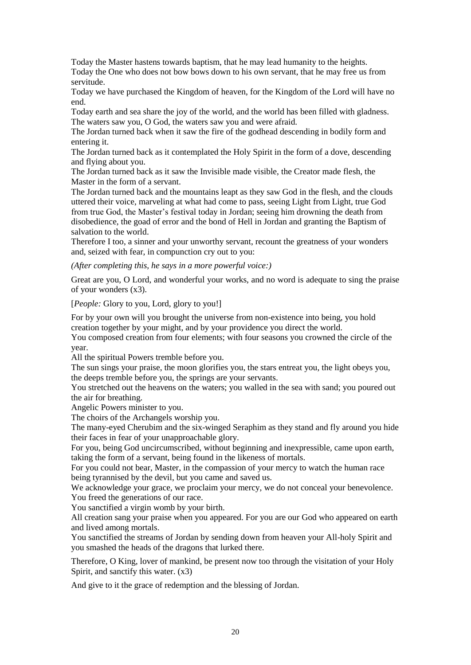Today the Master hastens towards baptism, that he may lead humanity to the heights. Today the One who does not bow bows down to his own servant, that he may free us from servitude.

Today we have purchased the Kingdom of heaven, for the Kingdom of the Lord will have no end.

Today earth and sea share the joy of the world, and the world has been filled with gladness. The waters saw you, O God, the waters saw you and were afraid.

The Jordan turned back when it saw the fire of the godhead descending in bodily form and entering it.

The Jordan turned back as it contemplated the Holy Spirit in the form of a dove, descending and flying about you.

The Jordan turned back as it saw the Invisible made visible, the Creator made flesh, the Master in the form of a servant.

The Jordan turned back and the mountains leapt as they saw God in the flesh, and the clouds uttered their voice, marveling at what had come to pass, seeing Light from Light, true God from true God, the Master's festival today in Jordan; seeing him drowning the death from disobedience, the goad of error and the bond of Hell in Jordan and granting the Baptism of salvation to the world.

Therefore I too, a sinner and your unworthy servant, recount the greatness of your wonders and, seized with fear, in compunction cry out to you:

*(After completing this, he says in a more powerful voice:)*

Great are you, O Lord, and wonderful your works, and no word is adequate to sing the praise of your wonders (x3).

[*People:* Glory to you, Lord, glory to you!]

For by your own will you brought the universe from non-existence into being, you hold creation together by your might, and by your providence you direct the world.

You composed creation from four elements; with four seasons you crowned the circle of the year.

All the spiritual Powers tremble before you.

The sun sings your praise, the moon glorifies you, the stars entreat you, the light obeys you, the deeps tremble before you, the springs are your servants.

You stretched out the heavens on the waters; you walled in the sea with sand; you poured out the air for breathing.

Angelic Powers minister to you.

The choirs of the Archangels worship you.

The many-eyed Cherubim and the six-winged Seraphim as they stand and fly around you hide their faces in fear of your unapproachable glory.

For you, being God uncircumscribed, without beginning and inexpressible, came upon earth, taking the form of a servant, being found in the likeness of mortals.

For you could not bear, Master, in the compassion of your mercy to watch the human race being tyrannised by the devil, but you came and saved us.

We acknowledge your grace, we proclaim your mercy, we do not conceal your benevolence. You freed the generations of our race.

You sanctified a virgin womb by your birth.

All creation sang your praise when you appeared. For you are our God who appeared on earth and lived among mortals.

You sanctified the streams of Jordan by sending down from heaven your All-holy Spirit and you smashed the heads of the dragons that lurked there.

Therefore, O King, lover of mankind, be present now too through the visitation of your Holy Spirit, and sanctify this water.  $(x3)$ 

And give to it the grace of redemption and the blessing of Jordan.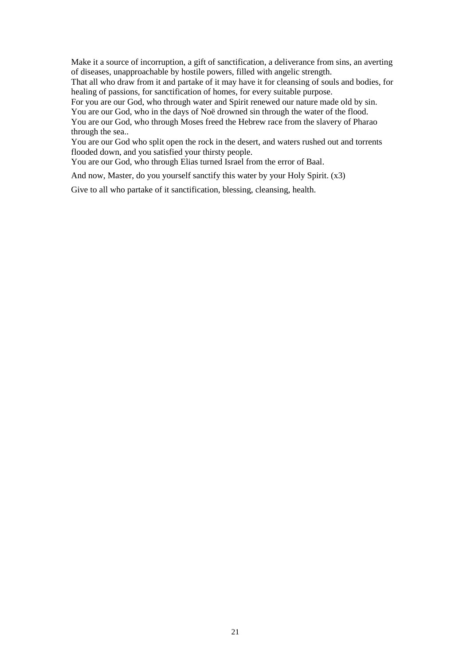Make it a source of incorruption, a gift of sanctification, a deliverance from sins, an averting of diseases, unapproachable by hostile powers, filled with angelic strength.

That all who draw from it and partake of it may have it for cleansing of souls and bodies, for healing of passions, for sanctification of homes, for every suitable purpose.

For you are our God, who through water and Spirit renewed our nature made old by sin.

You are our God, who in the days of Noë drowned sin through the water of the flood.

You are our God, who through Moses freed the Hebrew race from the slavery of Pharao through the sea..

You are our God who split open the rock in the desert, and waters rushed out and torrents flooded down, and you satisfied your thirsty people.

You are our God, who through Elias turned Israel from the error of Baal.

And now, Master, do you yourself sanctify this water by your Holy Spirit. (x3)

Give to all who partake of it sanctification, blessing, cleansing, health.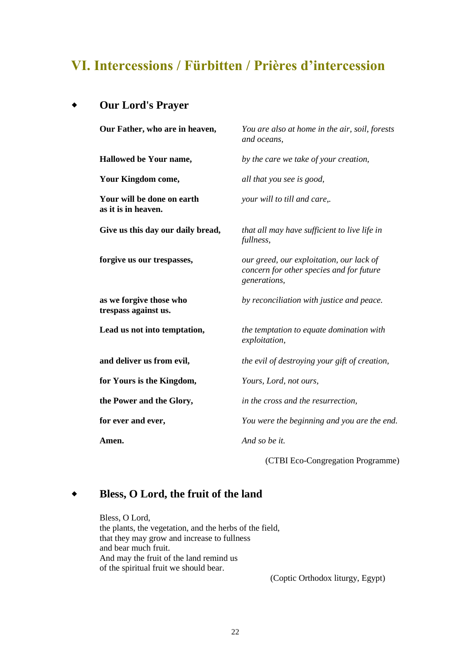# **VI. Intercessions / Fürbitten / Prières d'intercession**

# **Our Lord's Prayer**

| Our Father, who are in heaven,                    | You are also at home in the air, soil, forests<br>and oceans,                                        |
|---------------------------------------------------|------------------------------------------------------------------------------------------------------|
| Hallowed be Your name,                            | by the care we take of your creation,                                                                |
| Your Kingdom come,                                | all that you see is good,                                                                            |
| Your will be done on earth<br>as it is in heaven. | your will to till and care,.                                                                         |
| Give us this day our daily bread,                 | that all may have sufficient to live life in<br>fullness,                                            |
| forgive us our trespasses,                        | our greed, our exploitation, our lack of<br>concern for other species and for future<br>generations, |
| as we forgive those who<br>trespass against us.   | by reconciliation with justice and peace.                                                            |
| Lead us not into temptation,                      | the temptation to equate domination with<br>exploitation,                                            |
| and deliver us from evil,                         | the evil of destroying your gift of creation,                                                        |
| for Yours is the Kingdom,                         | Yours, Lord, not ours,                                                                               |
| the Power and the Glory,                          | in the cross and the resurrection,                                                                   |
| for ever and ever,                                | You were the beginning and you are the end.                                                          |
| Amen.                                             | And so be it.                                                                                        |

(CTBI Eco-Congregation Programme)

# **Bless, O Lord, the fruit of the land**

Bless, O Lord, the plants, the vegetation, and the herbs of the field, that they may grow and increase to fullness and bear much fruit. And may the fruit of the land remind us of the spiritual fruit we should bear.

(Coptic Orthodox liturgy, Egypt)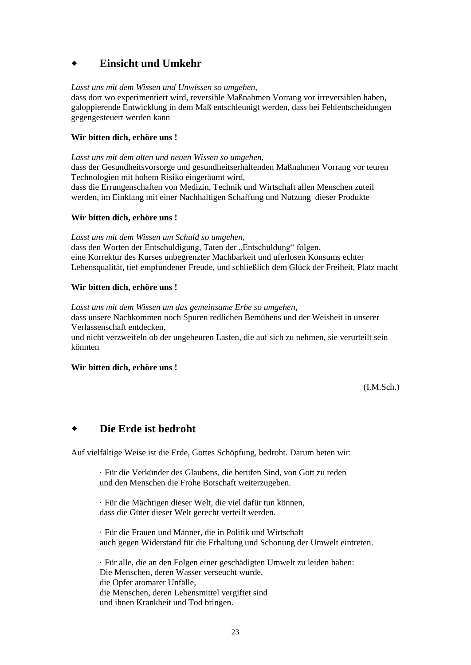# **Einsicht und Umkehr**

#### *Lasst uns mit dem Wissen und Unwissen so umgehen,*

dass dort wo experimentiert wird, reversible Maßnahmen Vorrang vor irreversiblen haben, galoppierende Entwicklung in dem Maß entschleunigt werden, dass bei Fehlentscheidungen gegengesteuert werden kann

#### **Wir bitten dich, erhöre uns !**

*Lasst uns mit dem alten und neuen Wissen so umgehen,*

dass der Gesundheitsvorsorge und gesundheitserhaltenden Maßnahmen Vorrang vor teuren Technologien mit hohem Risiko eingeräumt wird,

dass die Errungenschaften von Medizin, Technik und Wirtschaft allen Menschen zuteil werden, im Einklang mit einer Nachhaltigen Schaffung und Nutzung dieser Produkte

#### **Wir bitten dich, erhöre uns !**

*Lasst uns mit dem Wissen um Schuld so umgehen,*

dass den Worten der Entschuldigung, Taten der "Entschuldung" folgen, eine Korrektur des Kurses unbegrenzter Machbarkeit und uferlosen Konsums echter Lebensqualität, tief empfundener Freude, und schließlich dem Glück der Freiheit, Platz macht

#### **Wir bitten dich, erhöre uns !**

*Lasst uns mit dem Wissen um das gemeinsame Erbe so umgehen,* dass unsere Nachkommen noch Spuren redlichen Bemühens und der Weisheit in unserer Verlassenschaft entdecken,

und nicht verzweifeln ob der ungeheuren Lasten, die auf sich zu nehmen, sie verurteilt sein könnten

#### **Wir bitten dich, erhöre uns !**

(I.M.Sch.)

## **Die Erde ist bedroht**

Auf vielfältige Weise ist die Erde, Gottes Schöpfung, bedroht. Darum beten wir:

· Für die Verkünder des Glaubens, die berufen Sind, von Gott zu reden und den Menschen die Frohe Botschaft weiterzugeben.

· Für die Mächtigen dieser Welt, die viel dafür tun können, dass die Güter dieser Welt gerecht verteilt werden.

· Für die Frauen und Männer, die in Politik und Wirtschaft auch gegen Widerstand für die Erhaltung und Schonung der Umwelt eintreten.

· Für alle, die an den Folgen einer geschädigten Umwelt zu leiden haben: Die Menschen, deren Wasser verseucht wurde, die Opfer atomarer Unfälle, die Menschen, deren Lebensmittel vergiftet sind und ihnen Krankheit und Tod bringen.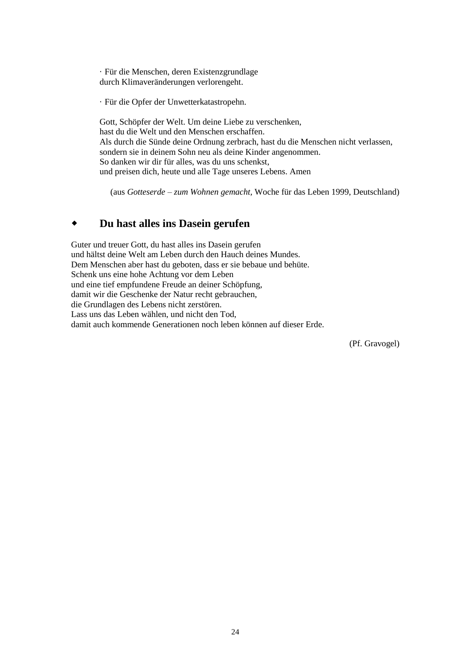· Für die Menschen, deren Existenzgrundlage durch Klimaveränderungen verlorengeht.

· Für die Opfer der Unwetterkatastropehn.

Gott, Schöpfer der Welt. Um deine Liebe zu verschenken, hast du die Welt und den Menschen erschaffen. Als durch die Sünde deine Ordnung zerbrach, hast du die Menschen nicht verlassen, sondern sie in deinem Sohn neu als deine Kinder angenommen. So danken wir dir für alles, was du uns schenkst, und preisen dich, heute und alle Tage unseres Lebens. Amen

(aus *Gotteserde – zum Wohnen gemacht,* Woche für das Leben 1999, Deutschland)

# **Du hast alles ins Dasein gerufen**

Guter und treuer Gott, du hast alles ins Dasein gerufen und hältst deine Welt am Leben durch den Hauch deines Mundes. Dem Menschen aber hast du geboten, dass er sie bebaue und behüte. Schenk uns eine hohe Achtung vor dem Leben und eine tief empfundene Freude an deiner Schöpfung, damit wir die Geschenke der Natur recht gebrauchen, die Grundlagen des Lebens nicht zerstören. Lass uns das Leben wählen, und nicht den Tod, damit auch kommende Generationen noch leben können auf dieser Erde.

(Pf. Gravogel)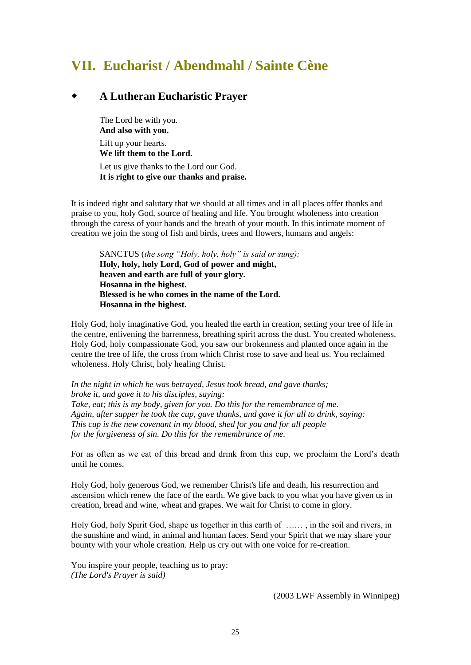# **VII. Eucharist / Abendmahl / Sainte Cène**

# **A Lutheran Eucharistic Prayer**

The Lord be with you. **And also with you.** Lift up your hearts. **We lift them to the Lord.** Let us give thanks to the Lord our God. **It is right to give our thanks and praise.**

It is indeed right and salutary that we should at all times and in all places offer thanks and praise to you, holy God, source of healing and life. You brought wholeness into creation through the caress of your hands and the breath of your mouth. In this intimate moment of creation we join the song of fish and birds, trees and flowers, humans and angels:

SANCTUS (*the song "Holy, holy, holy" is said or sung):* **Holy, holy, holy Lord, God of power and might, heaven and earth are full of your glory. Hosanna in the highest. Blessed is he who comes in the name of the Lord. Hosanna in the highest.**

Holy God, holy imaginative God, you healed the earth in creation, setting your tree of life in the centre, enlivening the barrenness, breathing spirit across the dust. You created wholeness. Holy God, holy compassionate God, you saw our brokenness and planted once again in the centre the tree of life, the cross from which Christ rose to save and heal us. You reclaimed wholeness. Holy Christ, holy healing Christ.

*In the night in which he was betrayed, Jesus took bread, and gave thanks; broke it, and gave it to his disciples, saying: Take, eat; this is my body, given for you. Do this for the remembrance of me. Again, after supper he took the cup, gave thanks, and gave it for all to drink, saying: This cup is the new covenant in my blood, shed for you and for all people for the forgiveness of sin. Do this for the remembrance of me.*

For as often as we eat of this bread and drink from this cup, we proclaim the Lord's death until he comes.

Holy God, holy generous God, we remember Christ's life and death, his resurrection and ascension which renew the face of the earth. We give back to you what you have given us in creation, bread and wine, wheat and grapes. We wait for Christ to come in glory.

Holy God, holy Spirit God, shape us together in this earth of …… , in the soil and rivers, in the sunshine and wind, in animal and human faces. Send your Spirit that we may share your bounty with your whole creation. Help us cry out with one voice for re-creation.

You inspire your people, teaching us to pray: *(The Lord's Prayer is said)*

(2003 LWF Assembly in Winnipeg)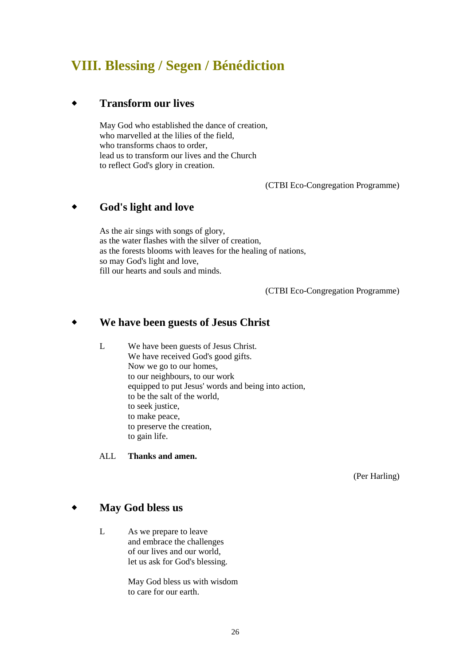# **VIII. Blessing / Segen / Bénédiction**

## **Transform our lives**

May God who established the dance of creation, who marvelled at the lilies of the field, who transforms chaos to order, lead us to transform our lives and the Church to reflect God's glory in creation.

(CTBI Eco-Congregation Programme)

# **God's light and love**

As the air sings with songs of glory, as the water flashes with the silver of creation, as the forests blooms with leaves for the healing of nations, so may God's light and love, fill our hearts and souls and minds.

(CTBI Eco-Congregation Programme)

## **We have been guests of Jesus Christ**

L We have been guests of Jesus Christ. We have received God's good gifts. Now we go to our homes, to our neighbours, to our work equipped to put Jesus' words and being into action, to be the salt of the world, to seek justice, to make peace, to preserve the creation, to gain life.

#### ALL **Thanks and amen.**

(Per Harling)

#### **May God bless us**

L As we prepare to leave and embrace the challenges of our lives and our world, let us ask for God's blessing.

> May God bless us with wisdom to care for our earth.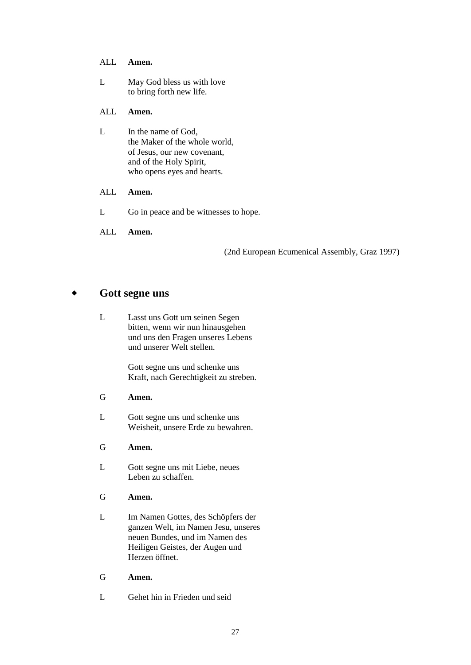#### ALL **Amen.**

L May God bless us with love to bring forth new life.

### ALL **Amen.**

L In the name of God, the Maker of the whole world, of Jesus, our new covenant, and of the Holy Spirit, who opens eyes and hearts.

#### ALL **Amen.**

L Go in peace and be witnesses to hope.

#### ALL **Amen.**

(2nd European Ecumenical Assembly, Graz 1997)

## **Gott segne uns**

L Lasst uns Gott um seinen Segen bitten, wenn wir nun hinausgehen und uns den Fragen unseres Lebens und unserer Welt stellen.

> Gott segne uns und schenke uns Kraft, nach Gerechtigkeit zu streben.

- G **Amen.**
- L Gott segne uns und schenke uns Weisheit, unsere Erde zu bewahren.
- G **Amen.**
- L Gott segne uns mit Liebe, neues Leben zu schaffen.
- G **Amen.**
- L Im Namen Gottes, des Schöpfers der ganzen Welt, im Namen Jesu, unseres neuen Bundes, und im Namen des Heiligen Geistes, der Augen und Herzen öffnet.
- G **Amen.**
- L Gehet hin in Frieden und seid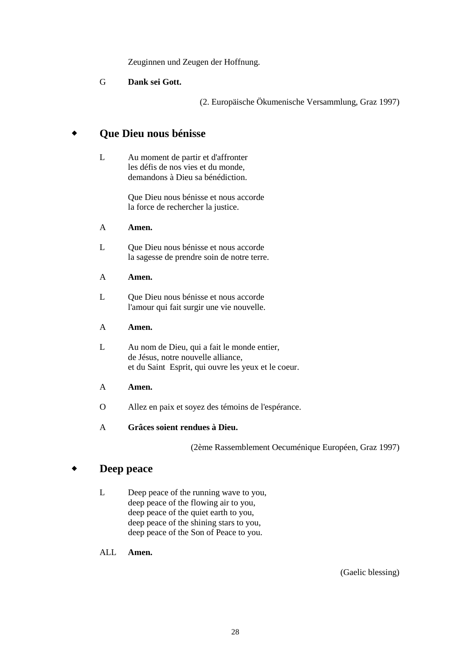Zeuginnen und Zeugen der Hoffnung.

#### G **Dank sei Gott.**

(2. Europäische Ökumenische Versammlung, Graz 1997)

# **Que Dieu nous bénisse**

L Au moment de partir et d'affronter les défis de nos vies et du monde, demandons à Dieu sa bénédiction.

> Que Dieu nous bénisse et nous accorde la force de rechercher la justice.

- A **Amen.**
- L Que Dieu nous bénisse et nous accorde la sagesse de prendre soin de notre terre.
- A **Amen.**
- L Que Dieu nous bénisse et nous accorde l'amour qui fait surgir une vie nouvelle.

#### A **Amen.**

L Au nom de Dieu, qui a fait le monde entier, de Jésus, notre nouvelle alliance, et du Saint Esprit, qui ouvre les yeux et le coeur.

#### A **Amen.**

- O Allez en paix et soyez des témoins de l'espérance.
- A **Grâces soient rendues à Dieu.**

(2ème Rassemblement Oecuménique Européen, Graz 1997)

# **Deep peace**

L Deep peace of the running wave to you, deep peace of the flowing air to you, deep peace of the quiet earth to you, deep peace of the shining stars to you, deep peace of the Son of Peace to you.

#### ALL **Amen.**

(Gaelic blessing)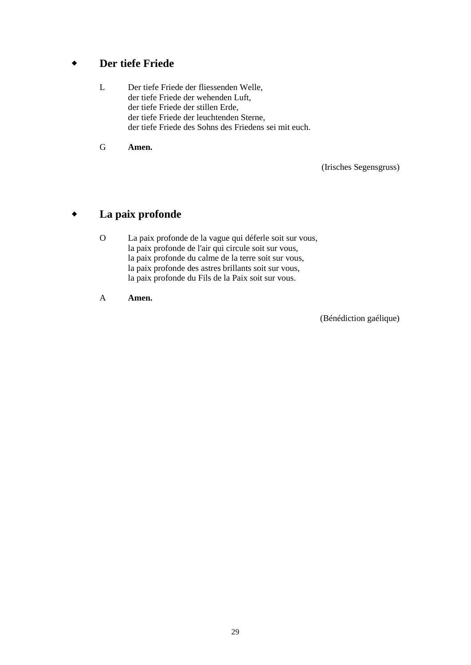# **Der tiefe Friede**

L Der tiefe Friede der fliessenden Welle, der tiefe Friede der wehenden Luft, der tiefe Friede der stillen Erde, der tiefe Friede der leuchtenden Sterne, der tiefe Friede des Sohns des Friedens sei mit euch.

G **Amen.**

(Irisches Segensgruss)

# **La paix profonde**

- O La paix profonde de la vague qui déferle soit sur vous, la paix profonde de l'air qui circule soit sur vous, la paix profonde du calme de la terre soit sur vous, la paix profonde des astres brillants soit sur vous, la paix profonde du Fils de la Paix soit sur vous.
- A **Amen.**

(Bénédiction gaélique)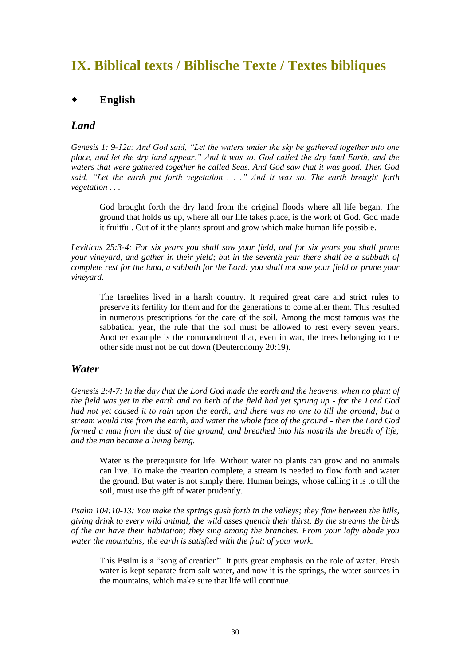# **IX. Biblical texts / Biblische Texte / Textes bibliques**

## **English**

### *Land*

*Genesis 1: 9-12a: And God said, "Let the waters under the sky be gathered together into one place, and let the dry land appear." And it was so. God called the dry land Earth, and the waters that were gathered together he called Seas. And God saw that it was good. Then God said, "Let the earth put forth vegetation . . ." And it was so. The earth brought forth vegetation . . .*

God brought forth the dry land from the original floods where all life began. The ground that holds us up, where all our life takes place, is the work of God. God made it fruitful. Out of it the plants sprout and grow which make human life possible.

*Leviticus 25:3-4: For six years you shall sow your field, and for six years you shall prune your vineyard, and gather in their yield; but in the seventh year there shall be a sabbath of complete rest for the land, a sabbath for the Lord: you shall not sow your field or prune your vineyard.*

The Israelites lived in a harsh country. It required great care and strict rules to preserve its fertility for them and for the generations to come after them. This resulted in numerous prescriptions for the care of the soil. Among the most famous was the sabbatical year, the rule that the soil must be allowed to rest every seven years. Another example is the commandment that, even in war, the trees belonging to the other side must not be cut down (Deuteronomy 20:19).

## *Water*

*Genesis 2:4-7: In the day that the Lord God made the earth and the heavens, when no plant of the field was yet in the earth and no herb of the field had yet sprung up - for the Lord God had not yet caused it to rain upon the earth, and there was no one to till the ground; but a stream would rise from the earth, and water the whole face of the ground - then the Lord God formed a man from the dust of the ground, and breathed into his nostrils the breath of life; and the man became a living being.*

Water is the prerequisite for life. Without water no plants can grow and no animals can live. To make the creation complete, a stream is needed to flow forth and water the ground. But water is not simply there. Human beings, whose calling it is to till the soil, must use the gift of water prudently.

*Psalm 104:10-13: You make the springs gush forth in the valleys; they flow between the hills, giving drink to every wild animal; the wild asses quench their thirst. By the streams the birds of the air have their habitation; they sing among the branches. From your lofty abode you water the mountains; the earth is satisfied with the fruit of your work.*

This Psalm is a "song of creation". It puts great emphasis on the role of water. Fresh water is kept separate from salt water, and now it is the springs, the water sources in the mountains, which make sure that life will continue.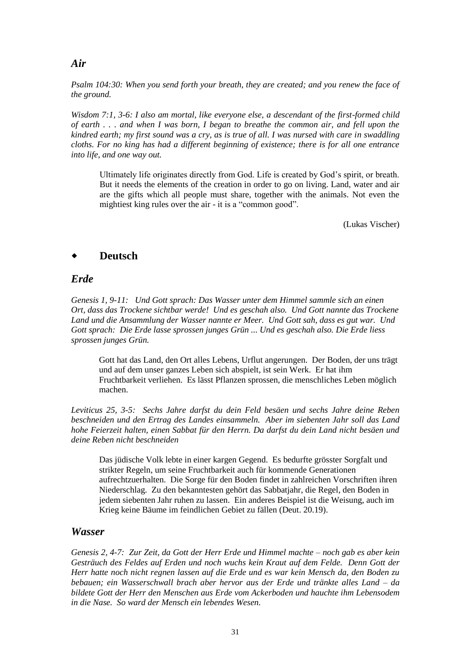### *Air*

*Psalm 104:30: When you send forth your breath, they are created; and you renew the face of the ground.*

*Wisdom 7:1, 3-6: I also am mortal, like everyone else, a descendant of the first-formed child of earth . . . and when I was born, I began to breathe the common air, and fell upon the kindred earth; my first sound was a cry, as is true of all. I was nursed with care in swaddling cloths. For no king has had a different beginning of existence; there is for all one entrance into life, and one way out.*

Ultimately life originates directly from God. Life is created by God's spirit, or breath. But it needs the elements of the creation in order to go on living. Land, water and air are the gifts which all people must share, together with the animals. Not even the mightiest king rules over the air - it is a "common good".

(Lukas Vischer)

## **Deutsch**

## *Erde*

*Genesis 1, 9-11: Und Gott sprach: Das Wasser unter dem Himmel sammle sich an einen Ort, dass das Trockene sichtbar werde! Und es geschah also. Und Gott nannte das Trockene Land und die Ansammlung der Wasser nannte er Meer. Und Gott sah, dass es gut war. Und Gott sprach: Die Erde lasse sprossen junges Grün ... Und es geschah also. Die Erde liess sprossen junges Grün.*

Gott hat das Land, den Ort alles Lebens, Urflut angerungen. Der Boden, der uns trägt und auf dem unser ganzes Leben sich abspielt, ist sein Werk. Er hat ihm Fruchtbarkeit verliehen. Es lässt Pflanzen sprossen, die menschliches Leben möglich machen.

*Leviticus 25, 3-5: Sechs Jahre darfst du dein Feld besäen und sechs Jahre deine Reben beschneiden und den Ertrag des Landes einsammeln. Aber im siebenten Jahr soll das Land hohe Feierzeit halten, einen Sabbat für den Herrn. Da darfst du dein Land nicht besäen und deine Reben nicht beschneiden*

Das jüdische Volk lebte in einer kargen Gegend. Es bedurfte grösster Sorgfalt und strikter Regeln, um seine Fruchtbarkeit auch für kommende Generationen aufrechtzuerhalten. Die Sorge für den Boden findet in zahlreichen Vorschriften ihren Niederschlag. Zu den bekanntesten gehört das Sabbatjahr, die Regel, den Boden in jedem siebenten Jahr ruhen zu lassen. Ein anderes Beispiel ist die Weisung, auch im Krieg keine Bäume im feindlichen Gebiet zu fällen (Deut. 20.19).

#### *Wasser*

*Genesis 2, 4-7: Zur Zeit, da Gott der Herr Erde und Himmel machte – noch gab es aber kein Gesträuch des Feldes auf Erden und noch wuchs kein Kraut auf dem Felde. Denn Gott der Herr hatte noch nicht regnen lassen auf die Erde und es war kein Mensch da, den Boden zu bebauen; ein Wasserschwall brach aber hervor aus der Erde und tränkte alles Land – da bildete Gott der Herr den Menschen aus Erde vom Ackerboden und hauchte ihm Lebensodem in die Nase. So ward der Mensch ein lebendes Wesen.*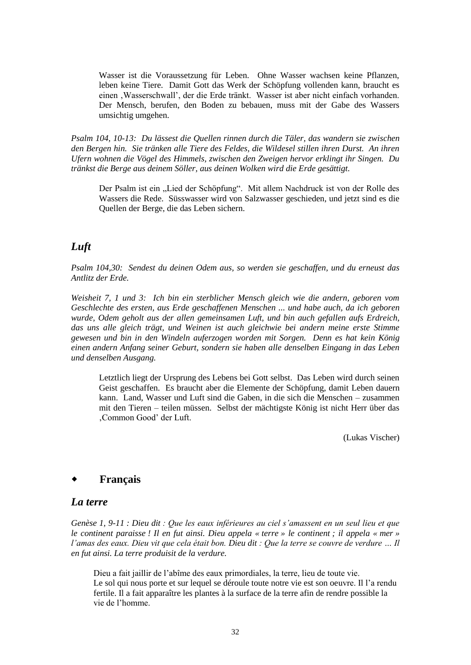Wasser ist die Voraussetzung für Leben. Ohne Wasser wachsen keine Pflanzen, leben keine Tiere. Damit Gott das Werk der Schöpfung vollenden kann, braucht es einen 'Wasserschwall', der die Erde tränkt. Wasser ist aber nicht einfach vorhanden. Der Mensch, berufen, den Boden zu bebauen, muss mit der Gabe des Wassers umsichtig umgehen.

*Psalm 104, 10-13: Du lässest die Quellen rinnen durch die Täler, das wandern sie zwischen den Bergen hin. Sie tränken alle Tiere des Feldes, die Wildesel stillen ihren Durst. An ihren Ufern wohnen die Vögel des Himmels, zwischen den Zweigen hervor erklingt ihr Singen. Du tränkst die Berge aus deinem Söller, aus deinen Wolken wird die Erde gesättigt.*

Der Psalm ist ein "Lied der Schöpfung". Mit allem Nachdruck ist von der Rolle des Wassers die Rede. Süsswasser wird von Salzwasser geschieden, und jetzt sind es die Quellen der Berge, die das Leben sichern.

## *Luft*

*Psalm 104,30: Sendest du deinen Odem aus, so werden sie geschaffen, und du erneust das Antlitz der Erde.* 

*Weisheit 7, 1 und 3: Ich bin ein sterblicher Mensch gleich wie die andern, geboren vom Geschlechte des ersten, aus Erde geschaffenen Menschen ... und habe auch, da ich geboren wurde, Odem geholt aus der allen gemeinsamen Luft, und bin auch gefallen aufs Erdreich, das uns alle gleich trägt, und Weinen ist auch gleichwie bei andern meine erste Stimme gewesen und bin in den Windeln auferzogen worden mit Sorgen. Denn es hat kein König einen andern Anfang seiner Geburt, sondern sie haben alle denselben Eingang in das Leben und denselben Ausgang.*

Letztlich liegt der Ursprung des Lebens bei Gott selbst. Das Leben wird durch seinen Geist geschaffen. Es braucht aber die Elemente der Schöpfung, damit Leben dauern kann. Land, Wasser und Luft sind die Gaben, in die sich die Menschen – zusammen mit den Tieren – teilen müssen. Selbst der mächtigste König ist nicht Herr über das 'Common Good' der Luft.

(Lukas Vischer)

## **Français**

#### *La terre*

*Genèse 1, 9-11 : Dieu dit : Que les eaux inférieures au ciel s'amassent en un seul lieu et que le continent paraisse ! Il en fut ainsi. Dieu appela « terre » le continent ; il appela « mer » l'amas des eaux. Dieu vit que cela était bon. Dieu dit : Que la terre se couvre de verdure … Il en fut ainsi. La terre produisit de la verdure.*

Dieu a fait jaillir de l'abîme des eaux primordiales, la terre, lieu de toute vie. Le sol qui nous porte et sur lequel se déroule toute notre vie est son oeuvre. Il l'a rendu fertile. Il a fait apparaître les plantes à la surface de la terre afin de rendre possible la vie de l'homme.